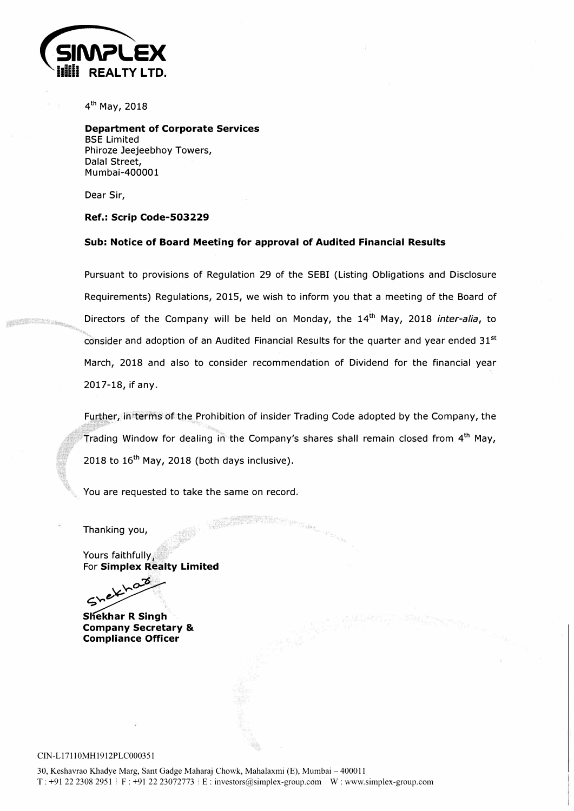

4 **th** May, 2018

**Department of Corporate Services**  BSE Limited Phiroze Jeejeebhoy Towers, Dalal Street, Mumbai-400001

Dear Sir,

### **Ref.: Scrip Code-503229**

#### **Sub: Notice of Board Meeting for approval of Audited Financial Results**

Pursuant to provisions of Regulation 29 of the SEBI (Listing Obligations and Disclosure Requirements) Regulations, 2015, we wish to inform you that a meeting of the Board of Directors of the Company will be held on Monday, the 14<sup>th</sup> May, 2018 *inter-alia*, to and adoption of an Audited Financial Results for the quarter and year ended  $31^\mathrm{st}$ March, 2018 and also to consider recommendation of Dividend for the financial year 2017-18, if any.

Further, in terms of the Prohibition of insider Trading Code adopted by the Company, the rading Window for dealing in the Company's shares shall remain closed from 4<sup>th</sup> May, 2018 to 16**th** May, 2018 (both days inclusive).

You are requested to take the same on record.

Thanking you,

Yours faithfully. **For Simplex Realty Limited<br>مح** 

ekhaz  $\sim$  ...

**Sliekhar R Singh Company Secretary & Compliance Officer** 

#### CIN-L171 IOMH1912PLC000351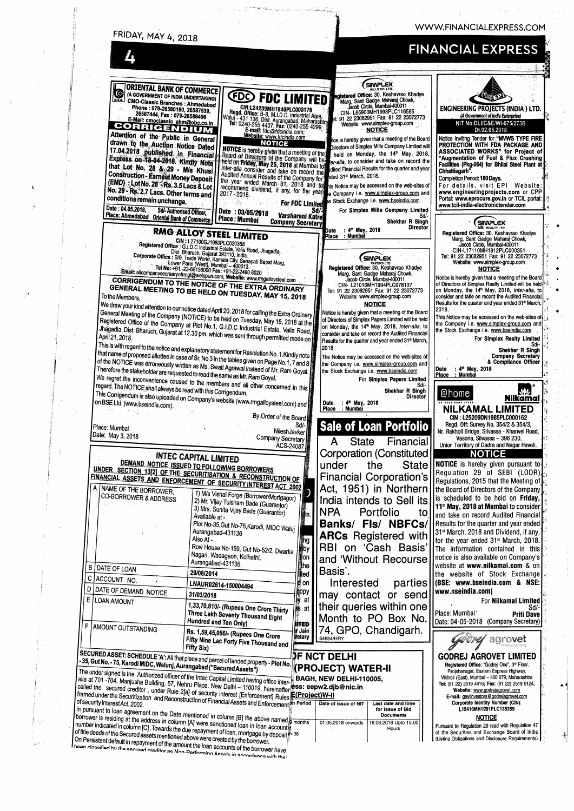WWW.FINANCIALEXPRESS.COM

| <b>FRIDAY, MAY 4, 2018</b> |  |  |
|----------------------------|--|--|
|                            |  |  |

# **FINANCIAL EXPRESS**